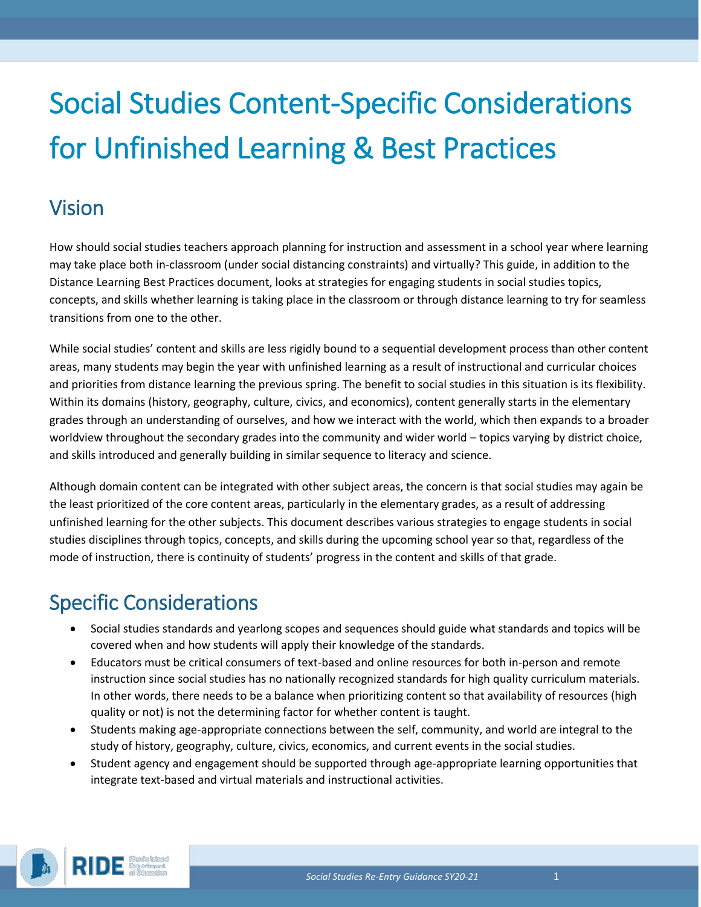# Social Studies Content-Specific Considerations for Unfinished Learning & Best Practices

## Vision

How should social studies teachers approach planning for instruction and assessment in a school year where learning may take place both in-classroom (under social distancing constraints) and virtually? This guide, in addition to the Distance Learning Best Practices document, looks at strategies for engaging students in social studies topics, concepts, and skills whether learning is taking place in the classroom or through distance learning to try for seamless transitions from one to the other.

While social studies' content and skills are less rigidly bound to a sequential development process than other content areas, many students may begin the year with unfinished learning as a result of instructional and curricular choices and priorities from distance learning the previous spring. The benefit to social studies in this situation is its flexibility. Within its domains (history, geography, culture, civics, and economics), content generally starts in the elementary grades through an understanding of ourselves, and how we interact with the world, which then expands to a broader worldview throughout the secondary grades into the community and wider world – topics varying by district choice, and skills introduced and generally building in similar sequence to literacy and science.

Although domain content can be integrated with other subject areas, the concern is that social studies may again be the least prioritized of the core content areas, particularly in the elementary grades, as a result of addressing unfinished learning for the other subjects. This document describes various strategies to engage students in social studies disciplines through topics, concepts, and skills during the upcoming school year so that, regardless of the mode of instruction, there is continuity of students' progress in the content and skills of that grade.

## Specific Considerations

- Social studies standards and yearlong scopes and sequences should guide what standards and topics will be covered when and how students will apply their knowledge of the standards.
- Educators must be critical consumers of text-based and online resources for both in-person and remote instruction since social studies has no nationally recognized standards for high quality curriculum materials. In other words, there needs to be a balance when prioritizing content so that availability of resources (high quality or not) is not the determining factor for whether content is taught.
- Students making age-appropriate connections between the self, community, and world are integral to the study of history, geography, culture, civics, economics, and current events in the social studies.
- Student agency and engagement should be supported through age-appropriate learning opportunities that integrate text-based and virtual materials and instructional activities.

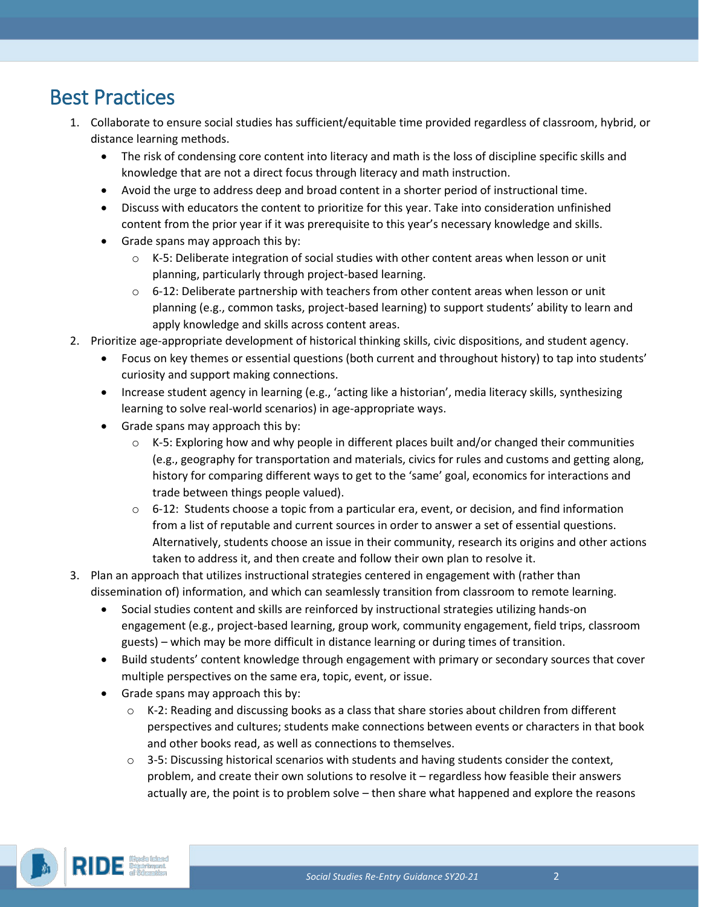### Best Practices

- 1. Collaborate to ensure social studies has sufficient/equitable time provided regardless of classroom, hybrid, or distance learning methods.
	- The risk of condensing core content into literacy and math is the loss of discipline specific skills and knowledge that are not a direct focus through literacy and math instruction.
	- Avoid the urge to address deep and broad content in a shorter period of instructional time.
	- Discuss with educators the content to prioritize for this year. Take into consideration unfinished content from the prior year if it was prerequisite to this year's necessary knowledge and skills.
	- Grade spans may approach this by:
		- o K-5: Deliberate integration of social studies with other content areas when lesson or unit planning, particularly through project-based learning.
		- $\circ$  6-12: Deliberate partnership with teachers from other content areas when lesson or unit planning (e.g., common tasks, project-based learning) to support students' ability to learn and apply knowledge and skills across content areas.
- 2. Prioritize age-appropriate development of historical thinking skills, civic dispositions, and student agency.
	- Focus on key themes or essential questions (both current and throughout history) to tap into students' curiosity and support making connections.
	- Increase student agency in learning (e.g., 'acting like a historian', media literacy skills, synthesizing learning to solve real-world scenarios) in age-appropriate ways.
	- Grade spans may approach this by:
		- $\circ$  K-5: Exploring how and why people in different places built and/or changed their communities (e.g., geography for transportation and materials, civics for rules and customs and getting along, history for comparing different ways to get to the 'same' goal, economics for interactions and trade between things people valued).
		- $\circ$  6-12: Students choose a topic from a particular era, event, or decision, and find information from a list of reputable and current sources in order to answer a set of essential questions. Alternatively, students choose an issue in their community, research its origins and other actions taken to address it, and then create and follow their own plan to resolve it.
- 3. Plan an approach that utilizes instructional strategies centered in engagement with (rather than dissemination of) information, and which can seamlessly transition from classroom to remote learning.
	- Social studies content and skills are reinforced by instructional strategies utilizing hands-on engagement (e.g., project-based learning, group work, community engagement, field trips, classroom guests) – which may be more difficult in distance learning or during times of transition.
	- Build students' content knowledge through engagement with primary or secondary sources that cover multiple perspectives on the same era, topic, event, or issue.
	- Grade spans may approach this by:
		- $\circ$  K-2: Reading and discussing books as a class that share stories about children from different perspectives and cultures; students make connections between events or characters in that book and other books read, as well as connections to themselves.
		- $\circ$  3-5: Discussing historical scenarios with students and having students consider the context, problem, and create their own solutions to resolve it – regardless how feasible their answers actually are, the point is to problem solve – then share what happened and explore the reasons

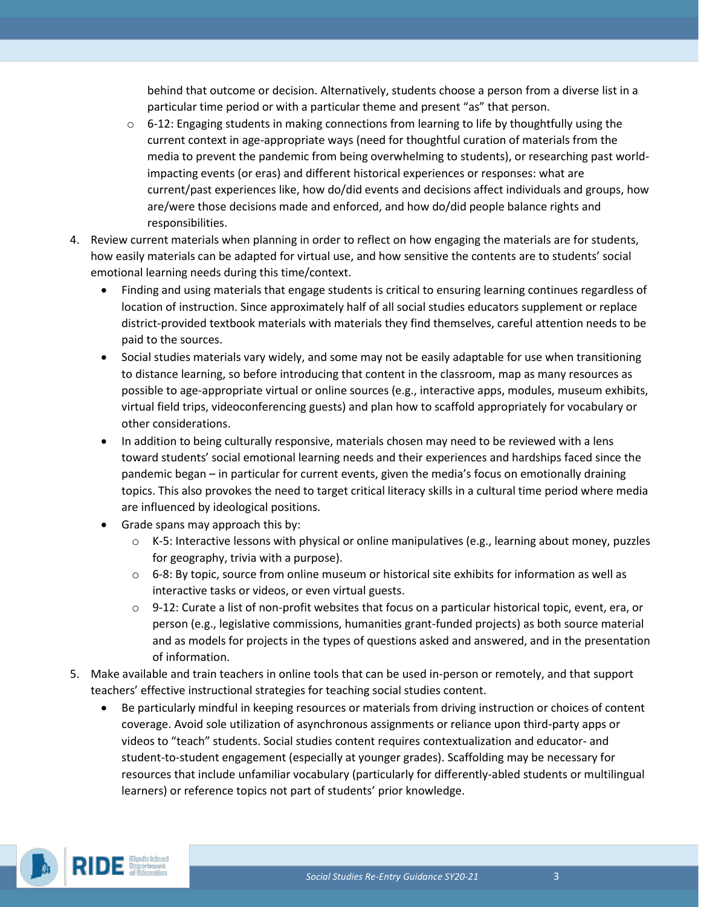behind that outcome or decision. Alternatively, students choose a person from a diverse list in a particular time period or with a particular theme and present "as" that person.

- $\circ$  6-12: Engaging students in making connections from learning to life by thoughtfully using the current context in age-appropriate ways (need for thoughtful curation of materials from the media to prevent the pandemic from being overwhelming to students), or researching past worldimpacting events (or eras) and different historical experiences or responses: what are current/past experiences like, how do/did events and decisions affect individuals and groups, how are/were those decisions made and enforced, and how do/did people balance rights and responsibilities.
- 4. Review current materials when planning in order to reflect on how engaging the materials are for students, how easily materials can be adapted for virtual use, and how sensitive the contents are to students' social emotional learning needs during this time/context.
	- Finding and using materials that engage students is critical to ensuring learning continues regardless of location of instruction. Since approximately half of all social studies educators supplement or replace district-provided textbook materials with materials they find themselves, careful attention needs to be paid to the sources.
	- Social studies materials vary widely, and some may not be easily adaptable for use when transitioning to distance learning, so before introducing that content in the classroom, map as many resources as possible to age-appropriate virtual or online sources (e.g., interactive apps, modules, museum exhibits, virtual field trips, videoconferencing guests) and plan how to scaffold appropriately for vocabulary or other considerations.
	- In addition to being culturally responsive, materials chosen may need to be reviewed with a lens toward students' social emotional learning needs and their experiences and hardships faced since the pandemic began – in particular for current events, given the media's focus on emotionally draining topics. This also provokes the need to target critical literacy skills in a cultural time period where media are influenced by ideological positions.
	- Grade spans may approach this by:
		- $\circ$  K-5: Interactive lessons with physical or online manipulatives (e.g., learning about money, puzzles for geography, trivia with a purpose).
		- o 6-8: By topic, source from online museum or historical site exhibits for information as well as interactive tasks or videos, or even virtual guests.
		- $\circ$  9-12: Curate a list of non-profit websites that focus on a particular historical topic, event, era, or person (e.g., legislative commissions, humanities grant-funded projects) as both source material and as models for projects in the types of questions asked and answered, and in the presentation of information.
- 5. Make available and train teachers in online tools that can be used in-person or remotely, and that support teachers' effective instructional strategies for teaching social studies content.
	- Be particularly mindful in keeping resources or materials from driving instruction or choices of content coverage. Avoid sole utilization of asynchronous assignments or reliance upon third-party apps or videos to "teach" students. Social studies content requires contextualization and educator- and student-to-student engagement (especially at younger grades). Scaffolding may be necessary for resources that include unfamiliar vocabulary (particularly for differently-abled students or multilingual learners) or reference topics not part of students' prior knowledge.